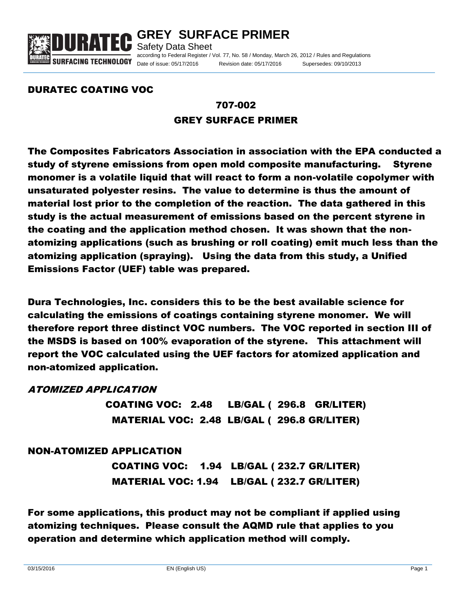

**GREY SURFACE PRIMER** Safety Data Sheet according to Federal Register / Vol. 77, No. 58 / Monday, March 26, 2012 / Rules and Regulations Date of issue: 05/17/2016 Revision date: 05/17/2016 Supersedes: 09/10/2013

## DURATEC COATING VOC

# 707-002

## GREY SURFACE PRIMER

The Composites Fabricators Association in association with the EPA conducted a study of styrene emissions from open mold composite manufacturing. Styrene monomer is a volatile liquid that will react to form a non-volatile copolymer with unsaturated polyester resins. The value to determine is thus the amount of material lost prior to the completion of the reaction. The data gathered in this study is the actual measurement of emissions based on the percent styrene in the coating and the application method chosen. It was shown that the nonatomizing applications (such as brushing or roll coating) emit much less than the atomizing application (spraying). Using the data from this study, a Unified Emissions Factor (UEF) table was prepared.

Dura Technologies, Inc. considers this to be the best available science for calculating the emissions of coatings containing styrene monomer. We will therefore report three distinct VOC numbers. The VOC reported in section III of the MSDS is based on 100% evaporation of the styrene. This attachment will report the VOC calculated using the UEF factors for atomized application and non-atomized application.

## ATOMIZED APPLICATION

COATING VOC: 2.48 LB/GAL ( 296.8 GR/LITER) MATERIAL VOC: 2.48 LB/GAL ( 296.8 GR/LITER)

# NON-ATOMIZED APPLICATION

COATING VOC: 1.94 LB/GAL ( 232.7 GR/LITER) MATERIAL VOC: 1.94 LB/GAL ( 232.7 GR/LITER)

For some applications, this product may not be compliant if applied using atomizing techniques. Please consult the AQMD rule that applies to you operation and determine which application method will comply.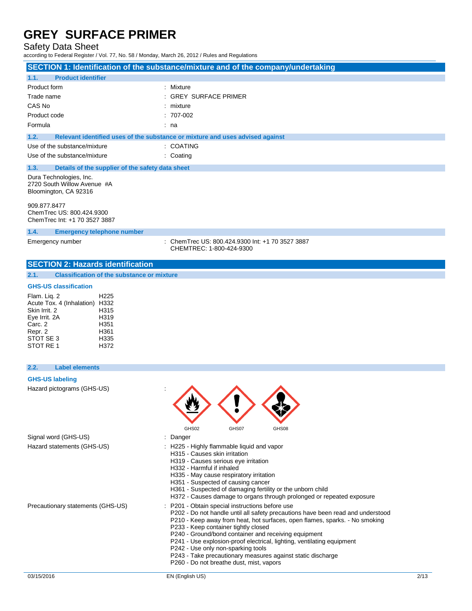Safety Data Sheet

according to Federal Register / Vol. 77, No. 58 / Monday, March 26, 2012 / Rules and Regulations

| SECTION 1: Identification of the substance/mixture and of the company/undertaking |                                                                               |  |  |  |
|-----------------------------------------------------------------------------------|-------------------------------------------------------------------------------|--|--|--|
| <b>Product identifier</b><br>1.1.                                                 |                                                                               |  |  |  |
| Product form                                                                      | : Mixture                                                                     |  |  |  |
| Trade name                                                                        | : GREY SURFACE PRIMER                                                         |  |  |  |
| CAS No                                                                            | $:$ mixture                                                                   |  |  |  |
| Product code                                                                      | $: 707-002$                                                                   |  |  |  |
| Formula                                                                           | : na                                                                          |  |  |  |
| 1.2.                                                                              | Relevant identified uses of the substance or mixture and uses advised against |  |  |  |
| Use of the substance/mixture                                                      | : COATING                                                                     |  |  |  |
| Use of the substance/mixture                                                      | $\therefore$ Coating                                                          |  |  |  |
| 1.3.<br>Details of the supplier of the safety data sheet                          |                                                                               |  |  |  |
| Dura Technologies, Inc.<br>2720 South Willow Avenue #A<br>Bloomington, CA 92316   |                                                                               |  |  |  |
| 909.877.8477<br>ChemTrec US: 800.424.9300<br>ChemTrec Int: +1 70 3527 3887        |                                                                               |  |  |  |
| 1.4.<br><b>Emergency telephone number</b>                                         |                                                                               |  |  |  |
| Emarganau numbar                                                                  | $\sim$ Chem Tree LIC, 000 494 0200 let $\sim$ 4.70 2527 2007                  |  |  |  |

Emergency number : ChemTrec US: 800.424.9300 Int: +1 70 3527 3887 CHEMTREC: 1-800-424-9300

## **SECTION 2: Hazards identification**

**2.1. Classification of the substance or mixture**

### **GHS-US classification**

| Flam. Lig. 2              | H <sub>225</sub> |
|---------------------------|------------------|
| Acute Tox. 4 (Inhalation) | H332             |
| Skin Irrit, 2             | H315             |
| Eye Irrit. 2A             | H319             |
| Carc. 2                   | H351             |
| Repr. 2                   | H361             |
| STOT SE 3                 | H335             |
| STOT RE 1                 | H372             |

#### **2.2. Label elements**

### **GHS-US labeling**

Hazard pictograms (GHS-US) :

Signal word (GHS-US) **in the set of the Signal word (GHS-US)** and the set of the set of the set of the set of the Signal and Signal and Signal and Signal and Signal and Signal and Signal and Signal and Signal and Signal an

- GHS02 GHS07 GHS08
- 
- Hazard statements (GHS-US) : H225 Highly flammable liquid and vapor
	- H315 Causes skin irritation
	- H319 Causes serious eye irritation
	- H332 Harmful if inhaled
	- H335 May cause respiratory irritation
	- H351 Suspected of causing cancer
	- H361 Suspected of damaging fertility or the unborn child
	- H372 Causes damage to organs through prolonged or repeated exposure
- Precautionary statements (GHS-US) : P201 Obtain special instructions before use
	- P202 Do not handle until all safety precautions have been read and understood
	- P210 Keep away from heat, hot surfaces, open flames, sparks. No smoking
	- P233 Keep container tightly closed
	- P240 Ground/bond container and receiving equipment
	- P241 Use explosion-proof electrical, lighting, ventilating equipment
	- P242 Use only non-sparking tools
	- P243 Take precautionary measures against static discharge
	- P260 Do not breathe dust, mist, vapors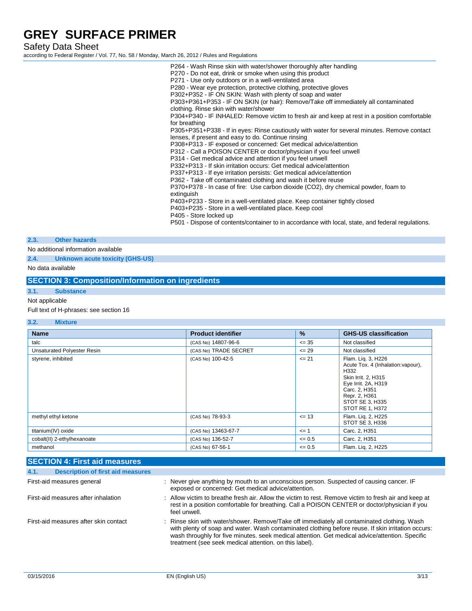Safety Data Sheet

according to Federal Register / Vol. 77, No. 58 / Monday, March 26, 2012 / Rules and Regulations

| P264 - Wash Rinse skin with water/shower thoroughly after handling                                             |
|----------------------------------------------------------------------------------------------------------------|
| P270 - Do not eat, drink or smoke when using this product                                                      |
| P271 - Use only outdoors or in a well-ventilated area                                                          |
| P280 - Wear eye protection, protective clothing, protective gloves                                             |
| P302+P352 - IF ON SKIN: Wash with plenty of soap and water                                                     |
| P303+P361+P353 - IF ON SKIN (or hair): Remove/Take off immediately all contaminated                            |
| clothing. Rinse skin with water/shower                                                                         |
| P304+P340 - IF INHALED: Remove victim to fresh air and keep at rest in a position comfortable<br>for breathing |
| P305+P351+P338 - If in eyes: Rinse cautiously with water for several minutes. Remove contact                   |
| lenses, if present and easy to do. Continue rinsing                                                            |
| P308+P313 - IF exposed or concerned: Get medical advice/attention                                              |
| P312 - Call a POISON CENTER or doctor/physician if you feel unwell                                             |
| P314 - Get medical advice and attention if you feel unwell                                                     |
| P332+P313 - If skin irritation occurs: Get medical advice/attention                                            |
| P337+P313 - If eye irritation persists: Get medical advice/attention                                           |
| P362 - Take off contaminated clothing and wash it before reuse                                                 |
| P370+P378 - In case of fire: Use carbon dioxide (CO2), dry chemical powder, foam to                            |
| extinguish                                                                                                     |
| P403+P233 - Store in a well-ventilated place. Keep container tightly closed                                    |
| P403+P235 - Store in a well-ventilated place. Keep cool                                                        |
| P405 - Store locked up                                                                                         |
| P501 - Dispose of contents/container to in accordance with local, state, and federal regulations.              |

### **2.3. Other hazards**

No additional information available

**2.4. Unknown acute toxicity (GHS-US)**

No data available

## **SECTION 3: Composition/Information on ingredients**

## **3.1. Substance**

### Not applicable

Full text of H-phrases: see section 16

#### **3.2. Mixture**

| <b>Name</b>                        | <b>Product identifier</b> | $\frac{1}{2}$ | <b>GHS-US classification</b>                                                                                                                                                           |
|------------------------------------|---------------------------|---------------|----------------------------------------------------------------------------------------------------------------------------------------------------------------------------------------|
| talc                               | (CAS No) 14807-96-6       | $\leq$ 35     | Not classified                                                                                                                                                                         |
| <b>Unsaturated Polyester Resin</b> | (CAS No) TRADE SECRET     | $\leq$ 29     | Not classified                                                                                                                                                                         |
| styrene, inhibited                 | (CAS No) 100-42-5         | $\leq$ 21     | Flam. Lig. 3, H226<br>Acute Tox. 4 (Inhalation: vapour),<br>H332<br>Skin Irrit. 2, H315<br>Eye Irrit. 2A, H319<br>Carc. 2, H351<br>Repr. 2, H361<br>STOT SE 3, H335<br>STOT RE 1, H372 |
| methyl ethyl ketone                | (CAS No) 78-93-3          | $= 13$        | Flam. Lig. 2, H225<br>STOT SE 3, H336                                                                                                                                                  |
| titanium(IV) oxide                 | (CAS No) 13463-67-7       | $\leq$ 1      | Carc. 2, H351                                                                                                                                                                          |
| cobalt(II) 2-ethylhexanoate        | (CAS No) 136-52-7         | $\leq 0.5$    | Carc. 2, H351                                                                                                                                                                          |
| methanol                           | (CAS No) 67-56-1          | $\leq 0.5$    | Flam. Lig. 2, H225                                                                                                                                                                     |

| <b>SECTION 4: First aid measures</b>             |                                                                                                                                                                                                                                                                                                                                                                |
|--------------------------------------------------|----------------------------------------------------------------------------------------------------------------------------------------------------------------------------------------------------------------------------------------------------------------------------------------------------------------------------------------------------------------|
| 4.1.<br><b>Description of first aid measures</b> |                                                                                                                                                                                                                                                                                                                                                                |
| First-aid measures general                       | : Never give anything by mouth to an unconscious person. Suspected of causing cancer. IF<br>exposed or concerned: Get medical advice/attention.                                                                                                                                                                                                                |
| First-aid measures after inhalation              | : Allow victim to breathe fresh air. Allow the victim to rest. Remove victim to fresh air and keep at<br>rest in a position comfortable for breathing. Call a POISON CENTER or doctor/physician if you<br>feel unwell.                                                                                                                                         |
| First-aid measures after skin contact            | : Rinse skin with water/shower. Remove/Take off immediately all contaminated clothing. Wash<br>with plenty of soap and water. Wash contaminated clothing before reuse. If skin irritation occurs:<br>wash throughly for five minutes. seek medical attention. Get medical advice/attention. Specific<br>treatment (see seek medical attention, on this label). |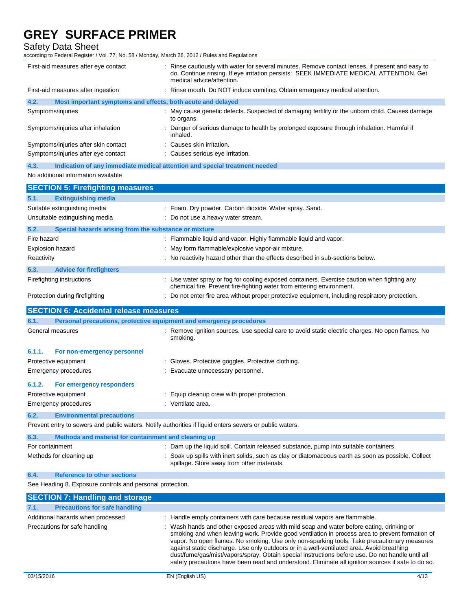Safety Data Sheet

|                                                                                                         | : Rinse cautiously with water for several minutes. Remove contact lenses, if present and easy to<br>do. Continue rinsing. If eye irritation persists: SEEK IMMEDIATE MEDICAL ATTENTION. Get<br>medical advice/attention. |
|---------------------------------------------------------------------------------------------------------|--------------------------------------------------------------------------------------------------------------------------------------------------------------------------------------------------------------------------|
| First-aid measures after ingestion                                                                      | : Rinse mouth. Do NOT induce vomiting. Obtain emergency medical attention.                                                                                                                                               |
| 4.2.<br>Most important symptoms and effects, both acute and delayed                                     |                                                                                                                                                                                                                          |
| Symptoms/injuries                                                                                       | : May cause genetic defects. Suspected of damaging fertility or the unborn child. Causes damage<br>to organs.                                                                                                            |
| Symptoms/injuries after inhalation                                                                      | Danger of serious damage to health by prolonged exposure through inhalation. Harmful if<br>inhaled.                                                                                                                      |
| Symptoms/injuries after skin contact                                                                    | : Causes skin irritation.                                                                                                                                                                                                |
| Symptoms/injuries after eye contact                                                                     | : Causes serious eye irritation.                                                                                                                                                                                         |
| 4.3.<br>Indication of any immediate medical attention and special treatment needed                      |                                                                                                                                                                                                                          |
| No additional information available                                                                     |                                                                                                                                                                                                                          |
|                                                                                                         |                                                                                                                                                                                                                          |
| <b>SECTION 5: Firefighting measures</b>                                                                 |                                                                                                                                                                                                                          |
| 5.1.<br><b>Extinguishing media</b>                                                                      |                                                                                                                                                                                                                          |
| Suitable extinguishing media                                                                            | : Foam. Dry powder. Carbon dioxide. Water spray. Sand.                                                                                                                                                                   |
| Unsuitable extinguishing media                                                                          | : Do not use a heavy water stream.                                                                                                                                                                                       |
| 5.2.<br>Special hazards arising from the substance or mixture                                           |                                                                                                                                                                                                                          |
| Fire hazard                                                                                             | : Flammable liquid and vapor. Highly flammable liquid and vapor.                                                                                                                                                         |
| Explosion hazard                                                                                        | : May form flammable/explosive vapor-air mixture.                                                                                                                                                                        |
| Reactivity                                                                                              | : No reactivity hazard other than the effects described in sub-sections below.                                                                                                                                           |
| 5.3.<br><b>Advice for firefighters</b>                                                                  |                                                                                                                                                                                                                          |
| Firefighting instructions                                                                               | : Use water spray or fog for cooling exposed containers. Exercise caution when fighting any                                                                                                                              |
|                                                                                                         | chemical fire. Prevent fire-fighting water from entering environment.                                                                                                                                                    |
| Protection during firefighting                                                                          | : Do not enter fire area without proper protective equipment, including respiratory protection.                                                                                                                          |
| <b>SECTION 6: Accidental release measures</b>                                                           |                                                                                                                                                                                                                          |
| 6.1.<br>Personal precautions, protective equipment and emergency procedures                             |                                                                                                                                                                                                                          |
| General measures                                                                                        | : Remove ignition sources. Use special care to avoid static electric charges. No open flames. No<br>smoking.                                                                                                             |
|                                                                                                         |                                                                                                                                                                                                                          |
| 6.1.1.                                                                                                  |                                                                                                                                                                                                                          |
| For non-emergency personnel                                                                             |                                                                                                                                                                                                                          |
| Protective equipment                                                                                    | : Gloves. Protective goggles. Protective clothing.                                                                                                                                                                       |
| Emergency procedures                                                                                    | : Evacuate unnecessary personnel.                                                                                                                                                                                        |
| 6.1.2.<br>For emergency responders                                                                      |                                                                                                                                                                                                                          |
| Protective equipment                                                                                    | : Equip cleanup crew with proper protection.                                                                                                                                                                             |
| Emergency procedures                                                                                    | : Ventilate area.                                                                                                                                                                                                        |
| 6.2.<br><b>Environmental precautions</b>                                                                |                                                                                                                                                                                                                          |
| Prevent entry to sewers and public waters. Notify authorities if liquid enters sewers or public waters. |                                                                                                                                                                                                                          |
| 6.3.<br>Methods and material for containment and cleaning up                                            |                                                                                                                                                                                                                          |
| For containment                                                                                         |                                                                                                                                                                                                                          |
|                                                                                                         | : Dam up the liquid spill. Contain released substance, pump into suitable containers.                                                                                                                                    |
| Methods for cleaning up                                                                                 | : Soak up spills with inert solids, such as clay or diatomaceous earth as soon as possible. Collect<br>spillage. Store away from other materials.                                                                        |
| <b>Reference to other sections</b><br>6.4.                                                              |                                                                                                                                                                                                                          |
| See Heading 8. Exposure controls and personal protection.                                               |                                                                                                                                                                                                                          |
|                                                                                                         |                                                                                                                                                                                                                          |
| <b>SECTION 7: Handling and storage</b>                                                                  |                                                                                                                                                                                                                          |
| <b>Precautions for safe handling</b><br>7.1.                                                            |                                                                                                                                                                                                                          |
| Additional hazards when processed<br>Precautions for safe handling                                      | : Handle empty containers with care because residual vapors are flammable.<br>: Wash hands and other exposed areas with mild soap and water before eating, drinking or                                                   |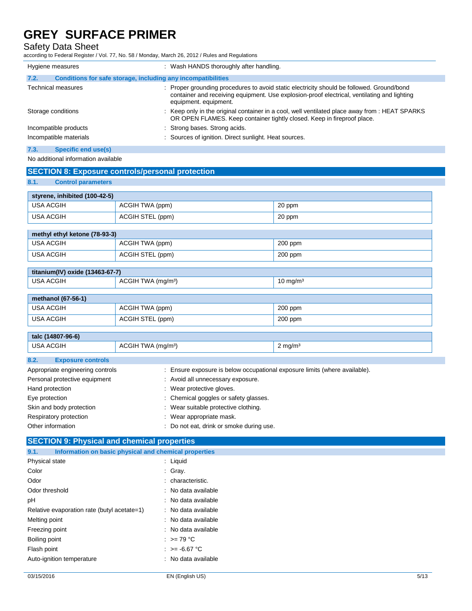### Safety Data Sheet

according to Federal Register / Vol. 77, No. 58 / Monday, March 26, 2012 / Rules and Regulations

| Hygiene measures                    | : Wash HANDS thoroughly after handling.                                                                                                                                                                           |  |  |  |  |
|-------------------------------------|-------------------------------------------------------------------------------------------------------------------------------------------------------------------------------------------------------------------|--|--|--|--|
| 7.2.                                | Conditions for safe storage, including any incompatibilities                                                                                                                                                      |  |  |  |  |
| <b>Technical measures</b>           | : Proper grounding procedures to avoid static electricity should be followed. Ground/bond<br>container and receiving equipment. Use explosion-proof electrical, ventilating and lighting<br>equipment. equipment. |  |  |  |  |
| Storage conditions                  | : Keep only in the original container in a cool, well ventilated place away from : HEAT SPARKS<br>OR OPEN FLAMES. Keep container tightly closed. Keep in fireproof place.                                         |  |  |  |  |
| Incompatible products               | : Strong bases. Strong acids.                                                                                                                                                                                     |  |  |  |  |
| Incompatible materials              | : Sources of ignition. Direct sunlight. Heat sources.                                                                                                                                                             |  |  |  |  |
| 7.3.<br>Specific end use(s)         |                                                                                                                                                                                                                   |  |  |  |  |
| No additional information available |                                                                                                                                                                                                                   |  |  |  |  |

| <b>SECTION 8: Exposure controls/personal protection</b> |                                |                        |  |  |  |  |
|---------------------------------------------------------|--------------------------------|------------------------|--|--|--|--|
| 8.1.<br><b>Control parameters</b>                       |                                |                        |  |  |  |  |
| styrene, inhibited (100-42-5)                           |                                |                        |  |  |  |  |
| <b>USA ACGIH</b>                                        | ACGIH TWA (ppm)                | 20 ppm                 |  |  |  |  |
| <b>USA ACGIH</b>                                        | ACGIH STEL (ppm)               | 20 ppm                 |  |  |  |  |
| methyl ethyl ketone (78-93-3)                           |                                |                        |  |  |  |  |
| <b>USA ACGIH</b>                                        | ACGIH TWA (ppm)                | 200 ppm                |  |  |  |  |
| <b>USA ACGIH</b>                                        | ACGIH STEL (ppm)               | 200 ppm                |  |  |  |  |
| titanium(IV) oxide (13463-67-7)                         |                                |                        |  |  |  |  |
| <b>USA ACGIH</b>                                        | ACGIH TWA (mg/m <sup>3</sup> ) | $10$ mg/m <sup>3</sup> |  |  |  |  |
| methanol (67-56-1)                                      |                                |                        |  |  |  |  |
| <b>USA ACGIH</b>                                        | ACGIH TWA (ppm)                | 200 ppm                |  |  |  |  |
| ACGIH STEL (ppm)<br><b>USA ACGIH</b>                    |                                | 200 ppm                |  |  |  |  |
| talc (14807-96-6)                                       |                                |                        |  |  |  |  |
| <b>USA ACGIH</b>                                        | ACGIH TWA (mg/m <sup>3</sup> ) | $2$ mg/m <sup>3</sup>  |  |  |  |  |

| 8.2.<br><b>Exposure controls</b> |                                                                            |
|----------------------------------|----------------------------------------------------------------------------|
| Appropriate engineering controls | : Ensure exposure is below occupational exposure limits (where available). |
| Personal protective equipment    | : Avoid all unnecessary exposure.                                          |
| Hand protection                  | : Wear protective gloves.                                                  |
| Eye protection                   | : Chemical goggles or safety glasses.                                      |
| Skin and body protection         | : Wear suitable protective clothing.                                       |
| Respiratory protection           | : Wear appropriate mask.                                                   |
| Other information                | : Do not eat, drink or smoke during use.                                   |

### **SECTION 9: Physical and chemical properties**

| 9.1.           | Information on basic physical and chemical properties |                         |
|----------------|-------------------------------------------------------|-------------------------|
| Physical state |                                                       | $:$ Liquid              |
| Color          |                                                       | : Gray.                 |
| Odor           |                                                       | : characteristic.       |
| Odor threshold |                                                       | : No data available     |
| рH             |                                                       | : No data available     |
|                | Relative evaporation rate (butyl acetate=1)           | : No data available     |
| Melting point  |                                                       | : No data available     |
| Freezing point |                                                       | : No data available     |
| Boiling point  |                                                       | $\therefore$ >= 79 °C   |
| Flash point    |                                                       | $\therefore$ >= 6.67 °C |
|                | Auto-ignition temperature                             | : No data available     |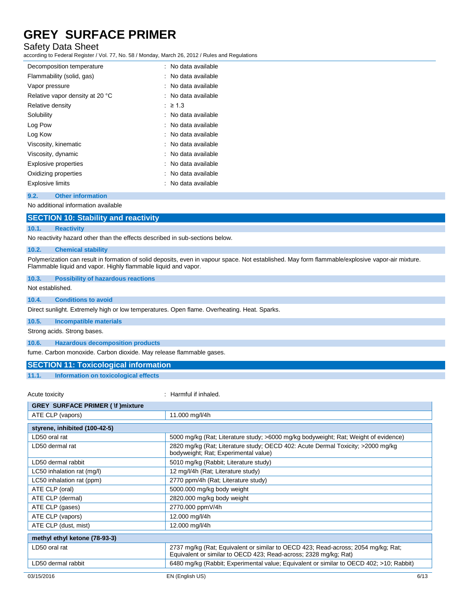### Safety Data Sheet

according to Federal Register / Vol. 77, No. 58 / Monday, March 26, 2012 / Rules and Regulations

| Decomposition temperature       | : No data available |
|---------------------------------|---------------------|
| Flammability (solid, gas)       | : No data available |
| Vapor pressure                  | : No data available |
| Relative vapor density at 20 °C | : No data available |
| Relative density                | $\geq 1.3$          |
| Solubility                      | : No data available |
| Log Pow                         | : No data available |
| Log Kow                         | : No data available |
| Viscosity, kinematic            | : No data available |
| Viscosity, dynamic              | : No data available |
| <b>Explosive properties</b>     | : No data available |
| Oxidizing properties            | No data available   |
| <b>Explosive limits</b>         | : No data available |

#### **9.2. Other information**

No additional information available

### **SECTION 10: Stability and reactivity**

#### **10.1. Reactivity**

No reactivity hazard other than the effects described in sub-sections below.

#### **10.2. Chemical stability**

Polymerization can result in formation of solid deposits, even in vapour space. Not established. May form flammable/explosive vapor-air mixture. Flammable liquid and vapor. Highly flammable liquid and vapor.

#### **10.3. Possibility of hazardous reactions**

Not established.

#### **10.4. Conditions to avoid**

Direct sunlight. Extremely high or low temperatures. Open flame. Overheating. Heat. Sparks.

**10.5. Incompatible materials**

Strong acids. Strong bases.

**10.6. Hazardous decomposition products**

fume. Carbon monoxide. Carbon dioxide. May release flammable gases.

#### **SECTION 11: Toxicological information**

#### **11.1. Information on toxicological effects**

| Acute toxicity                           | : Harmful if inhaled.                                                                                                                                 |      |  |
|------------------------------------------|-------------------------------------------------------------------------------------------------------------------------------------------------------|------|--|
| <b>GREY SURFACE PRIMER ( \f )mixture</b> |                                                                                                                                                       |      |  |
| ATE CLP (vapors)                         | 11.000 mg/l/4h                                                                                                                                        |      |  |
| styrene, inhibited (100-42-5)            |                                                                                                                                                       |      |  |
| LD50 oral rat                            | 5000 mg/kg (Rat; Literature study; >6000 mg/kg bodyweight; Rat; Weight of evidence)                                                                   |      |  |
| LD50 dermal rat                          | 2820 mg/kg (Rat; Literature study; OECD 402: Acute Dermal Toxicity; >2000 mg/kg<br>bodyweight; Rat; Experimental value)                               |      |  |
| LD50 dermal rabbit                       | 5010 mg/kg (Rabbit; Literature study)                                                                                                                 |      |  |
| LC50 inhalation rat (mg/l)               | 12 mg/l/4h (Rat; Literature study)                                                                                                                    |      |  |
| LC50 inhalation rat (ppm)                | 2770 ppm/4h (Rat; Literature study)                                                                                                                   |      |  |
| ATE CLP (oral)                           | 5000.000 mg/kg body weight                                                                                                                            |      |  |
| ATE CLP (dermal)                         | 2820.000 mg/kg body weight                                                                                                                            |      |  |
| ATE CLP (gases)                          | 2770.000 ppmV/4h                                                                                                                                      |      |  |
| ATE CLP (vapors)                         | 12.000 mg/l/4h                                                                                                                                        |      |  |
| ATE CLP (dust, mist)                     | 12.000 mg/l/4h                                                                                                                                        |      |  |
| methyl ethyl ketone (78-93-3)            |                                                                                                                                                       |      |  |
| LD50 oral rat                            | 2737 mg/kg (Rat; Equivalent or similar to OECD 423; Read-across; 2054 mg/kg; Rat;<br>Equivalent or similar to OECD 423; Read-across; 2328 mg/kg; Rat) |      |  |
| LD50 dermal rabbit                       | 6480 mg/kg (Rabbit; Experimental value; Equivalent or similar to OECD 402; >10; Rabbit)                                                               |      |  |
| 03/15/2016                               | EN (English US)                                                                                                                                       | 6/13 |  |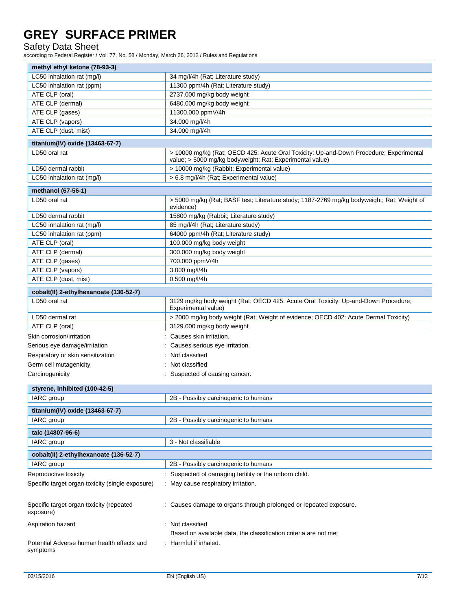Safety Data Sheet

| methyl ethyl ketone (78-93-3)                          |                                                                                                                                                    |  |
|--------------------------------------------------------|----------------------------------------------------------------------------------------------------------------------------------------------------|--|
| LC50 inhalation rat (mq/l)                             | 34 mg/l/4h (Rat; Literature study)                                                                                                                 |  |
| LC50 inhalation rat (ppm)                              | 11300 ppm/4h (Rat; Literature study)                                                                                                               |  |
| ATE CLP (oral)                                         | 2737.000 mg/kg body weight                                                                                                                         |  |
| ATE CLP (dermal)                                       | 6480.000 mg/kg body weight                                                                                                                         |  |
| ATE CLP (gases)                                        | 11300.000 ppmV/4h                                                                                                                                  |  |
| ATE CLP (vapors)                                       | 34.000 mg/l/4h                                                                                                                                     |  |
| ATE CLP (dust, mist)                                   | 34.000 mg/l/4h                                                                                                                                     |  |
| titanium(IV) oxide (13463-67-7)                        |                                                                                                                                                    |  |
| LD50 oral rat                                          | > 10000 mg/kg (Rat; OECD 425: Acute Oral Toxicity: Up-and-Down Procedure; Experimental<br>value; > 5000 mg/kg bodyweight; Rat; Experimental value) |  |
| LD50 dermal rabbit                                     | > 10000 mg/kg (Rabbit; Experimental value)                                                                                                         |  |
| LC50 inhalation rat (mg/l)                             | > 6.8 mg/l/4h (Rat; Experimental value)                                                                                                            |  |
| methanol (67-56-1)                                     |                                                                                                                                                    |  |
| LD50 oral rat                                          | > 5000 mg/kg (Rat; BASF test; Literature study; 1187-2769 mg/kg bodyweight; Rat; Weight of<br>evidence)                                            |  |
| LD50 dermal rabbit                                     | 15800 mg/kg (Rabbit; Literature study)                                                                                                             |  |
| LC50 inhalation rat (mg/l)                             | 85 mg/l/4h (Rat; Literature study)                                                                                                                 |  |
| LC50 inhalation rat (ppm)                              | 64000 ppm/4h (Rat; Literature study)                                                                                                               |  |
| ATE CLP (oral)                                         | 100.000 mg/kg body weight                                                                                                                          |  |
| ATE CLP (dermal)                                       | 300.000 mg/kg body weight                                                                                                                          |  |
| ATE CLP (gases)                                        | 700.000 ppmV/4h                                                                                                                                    |  |
| ATE CLP (vapors)                                       | 3.000 mg/l/4h                                                                                                                                      |  |
| ATE CLP (dust, mist)                                   | 0.500 mg/l/4h                                                                                                                                      |  |
| cobalt(II) 2-ethylhexanoate (136-52-7)                 |                                                                                                                                                    |  |
| LD50 oral rat                                          | 3129 mg/kg body weight (Rat; OECD 425: Acute Oral Toxicity: Up-and-Down Procedure;                                                                 |  |
|                                                        | Experimental value)                                                                                                                                |  |
| LD50 dermal rat                                        | > 2000 mg/kg body weight (Rat; Weight of evidence; OECD 402: Acute Dermal Toxicity)                                                                |  |
| ATE CLP (oral)                                         | 3129.000 mg/kg body weight                                                                                                                         |  |
| Skin corrosion/irritation                              | Causes skin irritation.                                                                                                                            |  |
| Serious eye damage/irritation                          | Causes serious eye irritation.                                                                                                                     |  |
| Respiratory or skin sensitization                      | Not classified                                                                                                                                     |  |
| Germ cell mutagenicity                                 | Not classified                                                                                                                                     |  |
| Carcinogenicity                                        | Suspected of causing cancer.                                                                                                                       |  |
| styrene, inhibited (100-42-5)                          |                                                                                                                                                    |  |
| IARC group                                             | 2B - Possibly carcinogenic to humans                                                                                                               |  |
| titanium(IV) oxide (13463-67-7)                        |                                                                                                                                                    |  |
| IARC group                                             | 2B - Possibly carcinogenic to humans                                                                                                               |  |
| talc (14807-96-6)                                      |                                                                                                                                                    |  |
| IARC group                                             | 3 - Not classifiable                                                                                                                               |  |
|                                                        |                                                                                                                                                    |  |
| cobalt(II) 2-ethylhexanoate (136-52-7)                 |                                                                                                                                                    |  |
| IARC group                                             | 2B - Possibly carcinogenic to humans                                                                                                               |  |
| Reproductive toxicity                                  | Suspected of damaging fertility or the unborn child.                                                                                               |  |
| Specific target organ toxicity (single exposure)       | : May cause respiratory irritation.                                                                                                                |  |
| Specific target organ toxicity (repeated<br>exposure)  | : Causes damage to organs through prolonged or repeated exposure.                                                                                  |  |
| Aspiration hazard                                      | : Not classified                                                                                                                                   |  |
|                                                        | Based on available data, the classification criteria are not met                                                                                   |  |
| Potential Adverse human health effects and<br>symptoms | Harmful if inhaled.                                                                                                                                |  |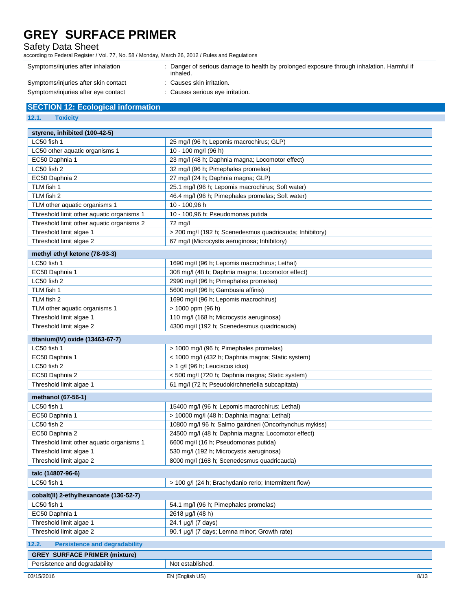## Safety Data Sheet

according to Federal Register / Vol. 77, No. 58 / Monday, March 26, 2012 / Rules and Regulations

| Symptoms/injuries after inhalation   | Danger of serious damage to health by prolonged exposure through inhalation. Harmful if<br>inhaled. |
|--------------------------------------|-----------------------------------------------------------------------------------------------------|
| Symptoms/injuries after skin contact | Causes skin irritation.                                                                             |

Symptoms/injuries after eye contact : Causes serious eye irritation.

### **SECTION 12: Ecological information**

**12.1. Toxicity**

| styrene, inhibited (100-42-5)                 |                                                         |  |  |
|-----------------------------------------------|---------------------------------------------------------|--|--|
| LC50 fish 1                                   | 25 mg/l (96 h; Lepomis macrochirus; GLP)                |  |  |
| LC50 other aquatic organisms 1                | 10 - 100 mg/l (96 h)                                    |  |  |
| EC50 Daphnia 1                                | 23 mg/l (48 h; Daphnia magna; Locomotor effect)         |  |  |
| LC50 fish 2                                   | 32 mg/l (96 h; Pimephales promelas)                     |  |  |
| EC50 Daphnia 2                                | 27 mg/l (24 h; Daphnia magna; GLP)                      |  |  |
| TLM fish 1                                    | 25.1 mg/l (96 h; Lepomis macrochirus; Soft water)       |  |  |
| TLM fish 2                                    | 46.4 mg/l (96 h; Pimephales promelas; Soft water)       |  |  |
| TLM other aquatic organisms 1                 | 10 - 100,96 h                                           |  |  |
| Threshold limit other aquatic organisms 1     | 10 - 100,96 h; Pseudomonas putida                       |  |  |
| Threshold limit other aquatic organisms 2     | 72 mg/l                                                 |  |  |
| Threshold limit algae 1                       | > 200 mg/l (192 h; Scenedesmus quadricauda; Inhibitory) |  |  |
| Threshold limit algae 2                       | 67 mg/l (Microcystis aeruginosa; Inhibitory)            |  |  |
| methyl ethyl ketone (78-93-3)                 |                                                         |  |  |
| LC50 fish 1                                   | 1690 mg/l (96 h; Lepomis macrochirus; Lethal)           |  |  |
| EC50 Daphnia 1                                | 308 mg/l (48 h; Daphnia magna; Locomotor effect)        |  |  |
| LC50 fish 2                                   | 2990 mg/l (96 h; Pimephales promelas)                   |  |  |
| TLM fish 1                                    | 5600 mg/l (96 h; Gambusia affinis)                      |  |  |
| TLM fish 2                                    | 1690 mg/l (96 h; Lepomis macrochirus)                   |  |  |
| TLM other aquatic organisms 1                 | > 1000 ppm (96 h)                                       |  |  |
| Threshold limit algae 1                       | 110 mg/l (168 h; Microcystis aeruginosa)                |  |  |
| Threshold limit algae 2                       | 4300 mg/l (192 h; Scenedesmus quadricauda)              |  |  |
| titanium(IV) oxide (13463-67-7)               |                                                         |  |  |
| LC50 fish 1                                   | > 1000 mg/l (96 h; Pimephales promelas)                 |  |  |
| EC50 Daphnia 1                                | < 1000 mg/l (432 h; Daphnia magna; Static system)       |  |  |
| LC50 fish 2                                   | > 1 g/l (96 h; Leuciscus idus)                          |  |  |
| EC50 Daphnia 2                                | < 500 mg/l (720 h; Daphnia magna; Static system)        |  |  |
| Threshold limit algae 1                       | 61 mg/l (72 h; Pseudokirchneriella subcapitata)         |  |  |
| methanol (67-56-1)                            |                                                         |  |  |
| LC50 fish 1                                   | 15400 mg/l (96 h; Lepomis macrochirus; Lethal)          |  |  |
| EC50 Daphnia 1                                | > 10000 mg/l (48 h; Daphnia magna; Lethal)              |  |  |
| LC50 fish 2                                   | 10800 mg/l 96 h; Salmo gairdneri (Oncorhynchus mykiss)  |  |  |
| EC50 Daphnia 2                                | 24500 mg/l (48 h; Daphnia magna; Locomotor effect)      |  |  |
| Threshold limit other aquatic organisms 1     | 6600 mg/l (16 h; Pseudomonas putida)                    |  |  |
| Threshold limit algae 1                       | 530 mg/l (192 h; Microcystis aeruginosa)                |  |  |
| Threshold limit algae 2                       | 8000 mg/l (168 h; Scenedesmus quadricauda)              |  |  |
| talc (14807-96-6)                             |                                                         |  |  |
| LC50 fish 1                                   | > 100 g/l (24 h; Brachydanio rerio; Intermittent flow)  |  |  |
|                                               |                                                         |  |  |
| cobalt(II) 2-ethylhexanoate (136-52-7)        |                                                         |  |  |
| LC50 fish 1                                   | 54.1 mg/l (96 h; Pimephales promelas)                   |  |  |
| EC50 Daphnia 1<br>Threshold limit algae 1     | 2618 µg/l (48 h)<br>24.1 µg/l (7 days)                  |  |  |
| Threshold limit algae 2                       | 90.1 µg/l (7 days; Lemna minor; Growth rate)            |  |  |
|                                               |                                                         |  |  |
| 12.2.<br><b>Persistence and degradability</b> |                                                         |  |  |
| <b>GREY SURFACE PRIMER (mixture)</b>          |                                                         |  |  |
| Persistence and degradability                 | Not established.                                        |  |  |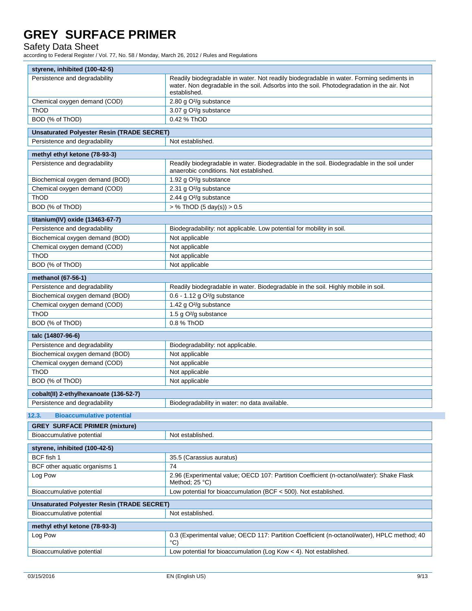Safety Data Sheet

| Persistence and degradability<br>established.<br>2.80 g O <sup>2</sup> /g substance<br>Chemical oxygen demand (COD)<br>ThOD<br>3.07 g O <sup>2</sup> /g substance<br>BOD (% of ThOD)<br>0.42 % ThOD<br><b>Unsaturated Polyester Resin (TRADE SECRET)</b><br>Persistence and degradability<br>Not established.<br>methyl ethyl ketone (78-93-3)<br>Persistence and degradability<br>Biochemical oxygen demand (BOD)<br>1.92 g O <sup>2</sup> /g substance<br>Chemical oxygen demand (COD)<br>2.31 g O <sup>2</sup> /g substance<br>ThOD<br>2.44 g O <sup>2</sup> /g substance<br>$>$ % ThOD (5 day(s)) $>$ 0.5<br>BOD (% of ThOD)<br>titanium(IV) oxide (13463-67-7)<br>Persistence and degradability<br>Biochemical oxygen demand (BOD)<br>Not applicable<br>Chemical oxygen demand (COD)<br>Not applicable<br>ThOD<br>Not applicable<br>BOD (% of ThOD)<br>Not applicable<br>methanol (67-56-1)<br>Persistence and degradability<br>Biochemical oxygen demand (BOD)<br>0.6 - 1.12 g O <sup>2</sup> /g substance<br>Chemical oxygen demand (COD)<br>1.42 g O <sup>2</sup> /g substance<br>ThOD<br>1.5 g O <sup>2</sup> /g substance<br>0.8 % ThOD<br>BOD (% of ThOD)<br>talc (14807-96-6)<br>Persistence and degradability<br>Biodegradability: not applicable.<br>Biochemical oxygen demand (BOD)<br>Not applicable<br>Chemical oxygen demand (COD)<br>Not applicable<br>ThOD<br>Not applicable | Readily biodegradable in water. Not readily biodegradable in water. Forming sediments in<br>water. Non degradable in the soil. Adsorbs into the soil. Photodegradation in the air. Not<br>Readily biodegradable in water. Biodegradable in the soil. Biodegradable in the soil under<br>anaerobic conditions. Not established.<br>Biodegradability: not applicable. Low potential for mobility in soil.<br>Readily biodegradable in water. Biodegradable in the soil. Highly mobile in soil. |  |
|--------------------------------------------------------------------------------------------------------------------------------------------------------------------------------------------------------------------------------------------------------------------------------------------------------------------------------------------------------------------------------------------------------------------------------------------------------------------------------------------------------------------------------------------------------------------------------------------------------------------------------------------------------------------------------------------------------------------------------------------------------------------------------------------------------------------------------------------------------------------------------------------------------------------------------------------------------------------------------------------------------------------------------------------------------------------------------------------------------------------------------------------------------------------------------------------------------------------------------------------------------------------------------------------------------------------------------------------------------------------------------------------------|----------------------------------------------------------------------------------------------------------------------------------------------------------------------------------------------------------------------------------------------------------------------------------------------------------------------------------------------------------------------------------------------------------------------------------------------------------------------------------------------|--|
|                                                                                                                                                                                                                                                                                                                                                                                                                                                                                                                                                                                                                                                                                                                                                                                                                                                                                                                                                                                                                                                                                                                                                                                                                                                                                                                                                                                                  |                                                                                                                                                                                                                                                                                                                                                                                                                                                                                              |  |
|                                                                                                                                                                                                                                                                                                                                                                                                                                                                                                                                                                                                                                                                                                                                                                                                                                                                                                                                                                                                                                                                                                                                                                                                                                                                                                                                                                                                  |                                                                                                                                                                                                                                                                                                                                                                                                                                                                                              |  |
|                                                                                                                                                                                                                                                                                                                                                                                                                                                                                                                                                                                                                                                                                                                                                                                                                                                                                                                                                                                                                                                                                                                                                                                                                                                                                                                                                                                                  |                                                                                                                                                                                                                                                                                                                                                                                                                                                                                              |  |
|                                                                                                                                                                                                                                                                                                                                                                                                                                                                                                                                                                                                                                                                                                                                                                                                                                                                                                                                                                                                                                                                                                                                                                                                                                                                                                                                                                                                  |                                                                                                                                                                                                                                                                                                                                                                                                                                                                                              |  |
|                                                                                                                                                                                                                                                                                                                                                                                                                                                                                                                                                                                                                                                                                                                                                                                                                                                                                                                                                                                                                                                                                                                                                                                                                                                                                                                                                                                                  |                                                                                                                                                                                                                                                                                                                                                                                                                                                                                              |  |
|                                                                                                                                                                                                                                                                                                                                                                                                                                                                                                                                                                                                                                                                                                                                                                                                                                                                                                                                                                                                                                                                                                                                                                                                                                                                                                                                                                                                  |                                                                                                                                                                                                                                                                                                                                                                                                                                                                                              |  |
|                                                                                                                                                                                                                                                                                                                                                                                                                                                                                                                                                                                                                                                                                                                                                                                                                                                                                                                                                                                                                                                                                                                                                                                                                                                                                                                                                                                                  |                                                                                                                                                                                                                                                                                                                                                                                                                                                                                              |  |
|                                                                                                                                                                                                                                                                                                                                                                                                                                                                                                                                                                                                                                                                                                                                                                                                                                                                                                                                                                                                                                                                                                                                                                                                                                                                                                                                                                                                  |                                                                                                                                                                                                                                                                                                                                                                                                                                                                                              |  |
|                                                                                                                                                                                                                                                                                                                                                                                                                                                                                                                                                                                                                                                                                                                                                                                                                                                                                                                                                                                                                                                                                                                                                                                                                                                                                                                                                                                                  |                                                                                                                                                                                                                                                                                                                                                                                                                                                                                              |  |
|                                                                                                                                                                                                                                                                                                                                                                                                                                                                                                                                                                                                                                                                                                                                                                                                                                                                                                                                                                                                                                                                                                                                                                                                                                                                                                                                                                                                  |                                                                                                                                                                                                                                                                                                                                                                                                                                                                                              |  |
|                                                                                                                                                                                                                                                                                                                                                                                                                                                                                                                                                                                                                                                                                                                                                                                                                                                                                                                                                                                                                                                                                                                                                                                                                                                                                                                                                                                                  |                                                                                                                                                                                                                                                                                                                                                                                                                                                                                              |  |
|                                                                                                                                                                                                                                                                                                                                                                                                                                                                                                                                                                                                                                                                                                                                                                                                                                                                                                                                                                                                                                                                                                                                                                                                                                                                                                                                                                                                  |                                                                                                                                                                                                                                                                                                                                                                                                                                                                                              |  |
|                                                                                                                                                                                                                                                                                                                                                                                                                                                                                                                                                                                                                                                                                                                                                                                                                                                                                                                                                                                                                                                                                                                                                                                                                                                                                                                                                                                                  |                                                                                                                                                                                                                                                                                                                                                                                                                                                                                              |  |
|                                                                                                                                                                                                                                                                                                                                                                                                                                                                                                                                                                                                                                                                                                                                                                                                                                                                                                                                                                                                                                                                                                                                                                                                                                                                                                                                                                                                  |                                                                                                                                                                                                                                                                                                                                                                                                                                                                                              |  |
|                                                                                                                                                                                                                                                                                                                                                                                                                                                                                                                                                                                                                                                                                                                                                                                                                                                                                                                                                                                                                                                                                                                                                                                                                                                                                                                                                                                                  |                                                                                                                                                                                                                                                                                                                                                                                                                                                                                              |  |
|                                                                                                                                                                                                                                                                                                                                                                                                                                                                                                                                                                                                                                                                                                                                                                                                                                                                                                                                                                                                                                                                                                                                                                                                                                                                                                                                                                                                  |                                                                                                                                                                                                                                                                                                                                                                                                                                                                                              |  |
|                                                                                                                                                                                                                                                                                                                                                                                                                                                                                                                                                                                                                                                                                                                                                                                                                                                                                                                                                                                                                                                                                                                                                                                                                                                                                                                                                                                                  |                                                                                                                                                                                                                                                                                                                                                                                                                                                                                              |  |
|                                                                                                                                                                                                                                                                                                                                                                                                                                                                                                                                                                                                                                                                                                                                                                                                                                                                                                                                                                                                                                                                                                                                                                                                                                                                                                                                                                                                  |                                                                                                                                                                                                                                                                                                                                                                                                                                                                                              |  |
|                                                                                                                                                                                                                                                                                                                                                                                                                                                                                                                                                                                                                                                                                                                                                                                                                                                                                                                                                                                                                                                                                                                                                                                                                                                                                                                                                                                                  |                                                                                                                                                                                                                                                                                                                                                                                                                                                                                              |  |
|                                                                                                                                                                                                                                                                                                                                                                                                                                                                                                                                                                                                                                                                                                                                                                                                                                                                                                                                                                                                                                                                                                                                                                                                                                                                                                                                                                                                  |                                                                                                                                                                                                                                                                                                                                                                                                                                                                                              |  |
|                                                                                                                                                                                                                                                                                                                                                                                                                                                                                                                                                                                                                                                                                                                                                                                                                                                                                                                                                                                                                                                                                                                                                                                                                                                                                                                                                                                                  |                                                                                                                                                                                                                                                                                                                                                                                                                                                                                              |  |
|                                                                                                                                                                                                                                                                                                                                                                                                                                                                                                                                                                                                                                                                                                                                                                                                                                                                                                                                                                                                                                                                                                                                                                                                                                                                                                                                                                                                  |                                                                                                                                                                                                                                                                                                                                                                                                                                                                                              |  |
|                                                                                                                                                                                                                                                                                                                                                                                                                                                                                                                                                                                                                                                                                                                                                                                                                                                                                                                                                                                                                                                                                                                                                                                                                                                                                                                                                                                                  |                                                                                                                                                                                                                                                                                                                                                                                                                                                                                              |  |
|                                                                                                                                                                                                                                                                                                                                                                                                                                                                                                                                                                                                                                                                                                                                                                                                                                                                                                                                                                                                                                                                                                                                                                                                                                                                                                                                                                                                  |                                                                                                                                                                                                                                                                                                                                                                                                                                                                                              |  |
|                                                                                                                                                                                                                                                                                                                                                                                                                                                                                                                                                                                                                                                                                                                                                                                                                                                                                                                                                                                                                                                                                                                                                                                                                                                                                                                                                                                                  |                                                                                                                                                                                                                                                                                                                                                                                                                                                                                              |  |
|                                                                                                                                                                                                                                                                                                                                                                                                                                                                                                                                                                                                                                                                                                                                                                                                                                                                                                                                                                                                                                                                                                                                                                                                                                                                                                                                                                                                  |                                                                                                                                                                                                                                                                                                                                                                                                                                                                                              |  |
|                                                                                                                                                                                                                                                                                                                                                                                                                                                                                                                                                                                                                                                                                                                                                                                                                                                                                                                                                                                                                                                                                                                                                                                                                                                                                                                                                                                                  |                                                                                                                                                                                                                                                                                                                                                                                                                                                                                              |  |
|                                                                                                                                                                                                                                                                                                                                                                                                                                                                                                                                                                                                                                                                                                                                                                                                                                                                                                                                                                                                                                                                                                                                                                                                                                                                                                                                                                                                  |                                                                                                                                                                                                                                                                                                                                                                                                                                                                                              |  |
|                                                                                                                                                                                                                                                                                                                                                                                                                                                                                                                                                                                                                                                                                                                                                                                                                                                                                                                                                                                                                                                                                                                                                                                                                                                                                                                                                                                                  |                                                                                                                                                                                                                                                                                                                                                                                                                                                                                              |  |
|                                                                                                                                                                                                                                                                                                                                                                                                                                                                                                                                                                                                                                                                                                                                                                                                                                                                                                                                                                                                                                                                                                                                                                                                                                                                                                                                                                                                  |                                                                                                                                                                                                                                                                                                                                                                                                                                                                                              |  |
| BOD (% of ThOD)<br>Not applicable                                                                                                                                                                                                                                                                                                                                                                                                                                                                                                                                                                                                                                                                                                                                                                                                                                                                                                                                                                                                                                                                                                                                                                                                                                                                                                                                                                |                                                                                                                                                                                                                                                                                                                                                                                                                                                                                              |  |
| cobalt(II) 2-ethylhexanoate (136-52-7)                                                                                                                                                                                                                                                                                                                                                                                                                                                                                                                                                                                                                                                                                                                                                                                                                                                                                                                                                                                                                                                                                                                                                                                                                                                                                                                                                           |                                                                                                                                                                                                                                                                                                                                                                                                                                                                                              |  |
| Persistence and degradability                                                                                                                                                                                                                                                                                                                                                                                                                                                                                                                                                                                                                                                                                                                                                                                                                                                                                                                                                                                                                                                                                                                                                                                                                                                                                                                                                                    | Biodegradability in water: no data available.                                                                                                                                                                                                                                                                                                                                                                                                                                                |  |
|                                                                                                                                                                                                                                                                                                                                                                                                                                                                                                                                                                                                                                                                                                                                                                                                                                                                                                                                                                                                                                                                                                                                                                                                                                                                                                                                                                                                  |                                                                                                                                                                                                                                                                                                                                                                                                                                                                                              |  |
| 12.3.<br><b>Bioaccumulative potential</b>                                                                                                                                                                                                                                                                                                                                                                                                                                                                                                                                                                                                                                                                                                                                                                                                                                                                                                                                                                                                                                                                                                                                                                                                                                                                                                                                                        |                                                                                                                                                                                                                                                                                                                                                                                                                                                                                              |  |
| <b>GREY SURFACE PRIMER (mixture)</b>                                                                                                                                                                                                                                                                                                                                                                                                                                                                                                                                                                                                                                                                                                                                                                                                                                                                                                                                                                                                                                                                                                                                                                                                                                                                                                                                                             |                                                                                                                                                                                                                                                                                                                                                                                                                                                                                              |  |
| Not established.<br>Bioaccumulative potential                                                                                                                                                                                                                                                                                                                                                                                                                                                                                                                                                                                                                                                                                                                                                                                                                                                                                                                                                                                                                                                                                                                                                                                                                                                                                                                                                    |                                                                                                                                                                                                                                                                                                                                                                                                                                                                                              |  |
| styrene, inhibited (100-42-5)                                                                                                                                                                                                                                                                                                                                                                                                                                                                                                                                                                                                                                                                                                                                                                                                                                                                                                                                                                                                                                                                                                                                                                                                                                                                                                                                                                    |                                                                                                                                                                                                                                                                                                                                                                                                                                                                                              |  |
| BCF fish 1<br>35.5 (Carassius auratus)                                                                                                                                                                                                                                                                                                                                                                                                                                                                                                                                                                                                                                                                                                                                                                                                                                                                                                                                                                                                                                                                                                                                                                                                                                                                                                                                                           |                                                                                                                                                                                                                                                                                                                                                                                                                                                                                              |  |
| 74<br>BCF other aquatic organisms 1                                                                                                                                                                                                                                                                                                                                                                                                                                                                                                                                                                                                                                                                                                                                                                                                                                                                                                                                                                                                                                                                                                                                                                                                                                                                                                                                                              |                                                                                                                                                                                                                                                                                                                                                                                                                                                                                              |  |
| Log Pow<br>Method; 25 °C)                                                                                                                                                                                                                                                                                                                                                                                                                                                                                                                                                                                                                                                                                                                                                                                                                                                                                                                                                                                                                                                                                                                                                                                                                                                                                                                                                                        | 2.96 (Experimental value; OECD 107: Partition Coefficient (n-octanol/water): Shake Flask                                                                                                                                                                                                                                                                                                                                                                                                     |  |
| Bioaccumulative potential                                                                                                                                                                                                                                                                                                                                                                                                                                                                                                                                                                                                                                                                                                                                                                                                                                                                                                                                                                                                                                                                                                                                                                                                                                                                                                                                                                        | Low potential for bioaccumulation (BCF < 500). Not established.                                                                                                                                                                                                                                                                                                                                                                                                                              |  |
| <b>Unsaturated Polyester Resin (TRADE SECRET)</b>                                                                                                                                                                                                                                                                                                                                                                                                                                                                                                                                                                                                                                                                                                                                                                                                                                                                                                                                                                                                                                                                                                                                                                                                                                                                                                                                                |                                                                                                                                                                                                                                                                                                                                                                                                                                                                                              |  |
| Not established.<br>Bioaccumulative potential                                                                                                                                                                                                                                                                                                                                                                                                                                                                                                                                                                                                                                                                                                                                                                                                                                                                                                                                                                                                                                                                                                                                                                                                                                                                                                                                                    |                                                                                                                                                                                                                                                                                                                                                                                                                                                                                              |  |
| methyl ethyl ketone (78-93-3)                                                                                                                                                                                                                                                                                                                                                                                                                                                                                                                                                                                                                                                                                                                                                                                                                                                                                                                                                                                                                                                                                                                                                                                                                                                                                                                                                                    |                                                                                                                                                                                                                                                                                                                                                                                                                                                                                              |  |
| Log Pow<br>$^{\circ}$ C)                                                                                                                                                                                                                                                                                                                                                                                                                                                                                                                                                                                                                                                                                                                                                                                                                                                                                                                                                                                                                                                                                                                                                                                                                                                                                                                                                                         |                                                                                                                                                                                                                                                                                                                                                                                                                                                                                              |  |
| Low potential for bioaccumulation (Log Kow < 4). Not established.<br>Bioaccumulative potential                                                                                                                                                                                                                                                                                                                                                                                                                                                                                                                                                                                                                                                                                                                                                                                                                                                                                                                                                                                                                                                                                                                                                                                                                                                                                                   | 0.3 (Experimental value; OECD 117: Partition Coefficient (n-octanol/water), HPLC method; 40                                                                                                                                                                                                                                                                                                                                                                                                  |  |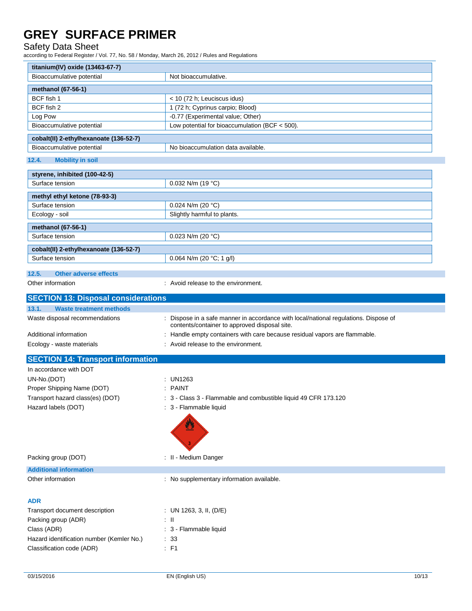### Safety Data Sheet

| titanium(IV) oxide (13463-67-7)                           |                                                                                                                                     |
|-----------------------------------------------------------|-------------------------------------------------------------------------------------------------------------------------------------|
| Bioaccumulative potential                                 | Not bioaccumulative.                                                                                                                |
| methanol (67-56-1)                                        |                                                                                                                                     |
| BCF fish 1                                                | < 10 (72 h; Leuciscus idus)                                                                                                         |
| BCF fish 2                                                | 1 (72 h; Cyprinus carpio; Blood)                                                                                                    |
| Log Pow                                                   | -0.77 (Experimental value; Other)                                                                                                   |
| Bioaccumulative potential                                 | Low potential for bioaccumulation (BCF $<$ 500).                                                                                    |
| cobalt(II) 2-ethylhexanoate (136-52-7)                    |                                                                                                                                     |
| Bioaccumulative potential                                 | No bioaccumulation data available.                                                                                                  |
| 12.4.<br><b>Mobility in soil</b>                          |                                                                                                                                     |
| styrene, inhibited (100-42-5)                             |                                                                                                                                     |
| Surface tension                                           | 0.032 N/m (19 °C)                                                                                                                   |
| methyl ethyl ketone (78-93-3)                             |                                                                                                                                     |
| Surface tension                                           | 0.024 N/m (20 $°C$ )                                                                                                                |
| Ecology - soil                                            | Slightly harmful to plants.                                                                                                         |
| methanol (67-56-1)                                        |                                                                                                                                     |
| Surface tension                                           | 0.023 N/m (20 $°C$ )                                                                                                                |
|                                                           |                                                                                                                                     |
| cobalt(II) 2-ethylhexanoate (136-52-7)<br>Surface tension |                                                                                                                                     |
|                                                           | 0.064 N/m (20 $°C$ ; 1 g/l)                                                                                                         |
| 12.5.<br><b>Other adverse effects</b>                     |                                                                                                                                     |
| Other information                                         | : Avoid release to the environment.                                                                                                 |
| <b>SECTION 13: Disposal considerations</b>                |                                                                                                                                     |
| 13.1.<br><b>Waste treatment methods</b>                   |                                                                                                                                     |
| Waste disposal recommendations                            | Dispose in a safe manner in accordance with local/national regulations. Dispose of<br>contents/container to approved disposal site. |
| Additional information                                    | : Handle empty containers with care because residual vapors are flammable.                                                          |
| Ecology - waste materials                                 | : Avoid release to the environment.                                                                                                 |
| <b>SECTION 14: Transport information</b>                  |                                                                                                                                     |
| In accordance with DOT                                    |                                                                                                                                     |
| UN-No.(DOT)                                               | : UN1263                                                                                                                            |
| Proper Shipping Name (DOT)                                | $:$ PAINT                                                                                                                           |
| Transport hazard class(es) (DOT)                          | : 3 - Class 3 - Flammable and combustible liquid 49 CFR 173.120                                                                     |
| Hazard labels (DOT)                                       | : 3 - Flammable liquid                                                                                                              |
|                                                           |                                                                                                                                     |
| Packing group (DOT)                                       | : II - Medium Danger                                                                                                                |
| <b>Additional information</b>                             |                                                                                                                                     |
| Other information                                         | : No supplementary information available.                                                                                           |
|                                                           |                                                                                                                                     |
|                                                           |                                                                                                                                     |
| <b>ADR</b>                                                |                                                                                                                                     |
| Transport document description                            | : UN 1263, 3, II, $(D/E)$                                                                                                           |
| Packing group (ADR)                                       | : II                                                                                                                                |
| Class (ADR)                                               | : 3 - Flammable liquid                                                                                                              |
| Hazard identification number (Kemler No.)                 | : 33                                                                                                                                |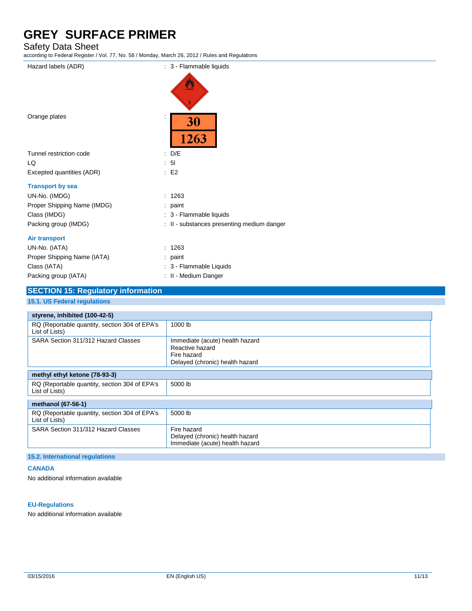### Safety Data Sheet

according to Federal Register / Vol. 77, No. 58 / Monday, March 26, 2012 / Rules and Regulations

| Hazard labels (ADR)         | : 3 - Flammable liquids                    |
|-----------------------------|--------------------------------------------|
|                             |                                            |
| Orange plates               | 30                                         |
|                             | 1263                                       |
| Tunnel restriction code     | : D/E                                      |
| LQ                          | - 51                                       |
| Excepted quantities (ADR)   | E2                                         |
| <b>Transport by sea</b>     |                                            |
| UN-No. (IMDG)               | : 1263                                     |
| Proper Shipping Name (IMDG) | $:$ paint                                  |
| Class (IMDG)                | : 3 - Flammable liquids                    |
| Packing group (IMDG)        | : II - substances presenting medium danger |
| <b>Air transport</b>        |                                            |
| UN-No. (IATA)               | : 1263                                     |
| Proper Shipping Name (IATA) | : paint                                    |
| Class (IATA)                | : 3 - Flammable Liquids                    |
| Packing group (IATA)        | : II - Medium Danger                       |
|                             |                                            |

### **SECTION 15: Regulatory information**

### **15.1. US Federal regulations**

| styrene, inhibited (100-42-5)                                   |                                                                                                      |  |
|-----------------------------------------------------------------|------------------------------------------------------------------------------------------------------|--|
| RQ (Reportable quantity, section 304 of EPA's<br>List of Lists) | 1000 lb                                                                                              |  |
| SARA Section 311/312 Hazard Classes                             | Immediate (acute) health hazard<br>Reactive hazard<br>Fire hazard<br>Delayed (chronic) health hazard |  |
| methyl ethyl ketone (78-93-3)                                   |                                                                                                      |  |
| RQ (Reportable quantity, section 304 of EPA's<br>List of Lists) | 5000 lb                                                                                              |  |
| methanol (67-56-1)                                              |                                                                                                      |  |
| RQ (Reportable quantity, section 304 of EPA's<br>List of Lists) | 5000 lb                                                                                              |  |
| SARA Section 311/312 Hazard Classes                             | Fire hazard<br>Delayed (chronic) health hazard<br>Immediate (acute) health hazard                    |  |

#### **15.2. International regulations**

#### **CANADA**

No additional information available

#### **EU-Regulations**

No additional information available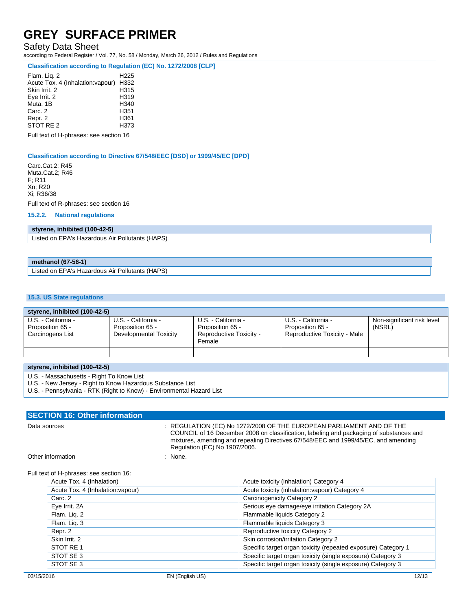Safety Data Sheet

according to Federal Register / Vol. 77, No. 58 / Monday, March 26, 2012 / Rules and Regulations

**Classification according to Regulation (EC) No. 1272/2008 [CLP]**

| Flam. Lig. 2                      | H <sub>225</sub> |
|-----------------------------------|------------------|
| Acute Tox. 4 (Inhalation: vapour) | H332             |
| Skin Irrit. 2                     | H315             |
| Eye Irrit. 2                      | H <sub>319</sub> |
| Muta, 1B                          | H <sub>340</sub> |
| Carc. 2                           | H <sub>351</sub> |
| Repr. 2                           | H361             |
| STOT RE <sub>2</sub>              | H373             |
|                                   |                  |

Full text of H-phrases: see section 16

#### **Classification according to Directive 67/548/EEC [DSD] or 1999/45/EC [DPD]**

Carc.Cat.2; R45 Muta.Cat.2; R46 F; R11 Xn; R20 Xi; R36/38

Full text of R-phrases: see section 16

**15.2.2. National regulations**

#### **styrene, inhibited (100-42-5)**

Listed on EPA's Hazardous Air Pollutants (HAPS)

### **methanol (67-56-1)** Listed on EPA's Hazardous Air Pollutants (HAPS)

#### **15.3. US State regulations**

| styrene, inhibited (100-42-5)                               |                                                                   |                                                                    |                                                                         |                                      |
|-------------------------------------------------------------|-------------------------------------------------------------------|--------------------------------------------------------------------|-------------------------------------------------------------------------|--------------------------------------|
| U.S. - California -<br>Proposition 65 -<br>Carcinogens List | U.S. - California -<br>Proposition 65 -<br>Developmental Toxicity | U.S. - California -<br>Proposition 65 -<br>Reproductive Toxicity - | U.S. - California -<br>Proposition 65 -<br>Reproductive Toxicity - Male | Non-significant risk level<br>(NSRL) |
|                                                             |                                                                   | Female                                                             |                                                                         |                                      |
|                                                             |                                                                   |                                                                    |                                                                         |                                      |
|                                                             |                                                                   |                                                                    |                                                                         |                                      |
| styrene, inhibited (100-42-5)                               |                                                                   |                                                                    |                                                                         |                                      |
| $11C$ Mossochusette Dight $T_2$ Know List                   |                                                                   |                                                                    |                                                                         |                                      |

U.S. - Massachusetts - Right To Know List

U.S. - New Jersey - Right to Know Hazardous Substance List

U.S. - Pennsylvania - RTK (Right to Know) - Environmental Hazard List

#### **SECTION 16: Other information** Data sources **1992 CONSERVERTY CONSERVERTY OF THE EUROPEAN PARLIAMENT AND OF THE** COUNCIL of 16 December 2008 on classification, labeling and packaging of substances and mixtures, amending and repealing Directives 67/548/EEC and 1999/45/EC, and amending Regulation (EC) No 1907/2006. Other information in the contract of the contract of the contract of the contract of the contract of the contract of the contract of the contract of the contract of the contract of the contract of the contract of the contr

#### Full text of H-phrases: see section 16:

| Acute Tox. 4 (Inhalation)         | Acute toxicity (inhalation) Category 4                        |
|-----------------------------------|---------------------------------------------------------------|
| Acute Tox. 4 (Inhalation: vapour) | Acute toxicity (inhalation: vapour) Category 4                |
| Carc. 2                           | Carcinogenicity Category 2                                    |
| Eye Irrit. 2A                     | Serious eye damage/eye irritation Category 2A                 |
| Flam. Lig. 2                      | Flammable liquids Category 2                                  |
| Flam. Liq. 3                      | Flammable liquids Category 3                                  |
| Repr. 2                           | Reproductive toxicity Category 2                              |
| Skin Irrit, 2                     | Skin corrosion/irritation Category 2                          |
| STOT RE 1                         | Specific target organ toxicity (repeated exposure) Category 1 |
| STOT SE 3                         | Specific target organ toxicity (single exposure) Category 3   |
| STOT SE 3                         | Specific target organ toxicity (single exposure) Category 3   |